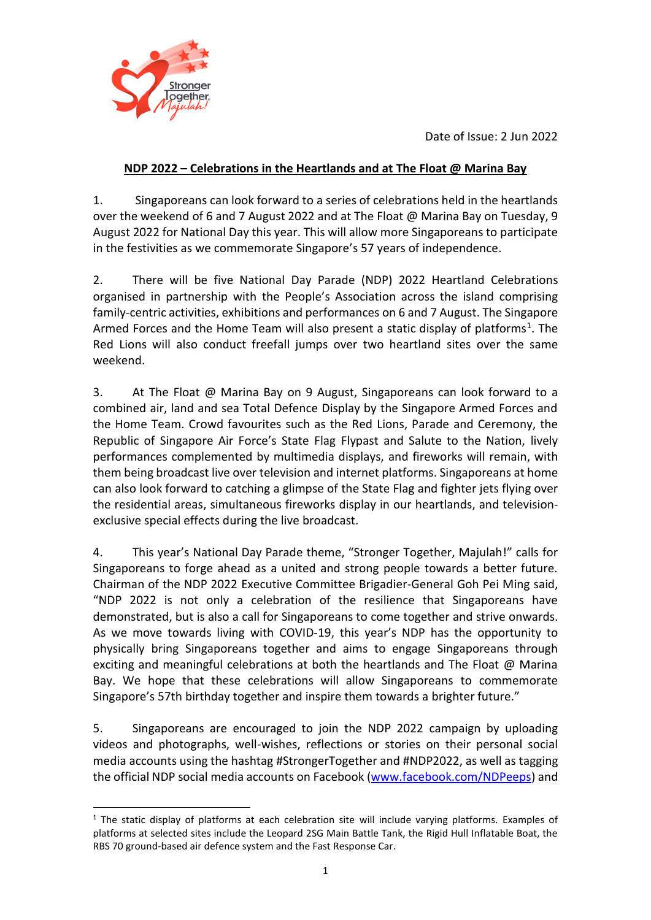Date of Issue: 2 Jun 2022



## **NDP 2022 – Celebrations in the Heartlands and at The Float @ Marina Bay**

1. Singaporeans can look forward to a series of celebrations held in the heartlands over the weekend of 6 and 7 August 2022 and at The Float @ Marina Bay on Tuesday, 9 August 2022 for National Day this year. This will allow more Singaporeans to participate in the festivities as we commemorate Singapore's 57 years of independence.

2. There will be five National Day Parade (NDP) 2022 Heartland Celebrations organised in partnership with the People's Association across the island comprising family-centric activities, exhibitions and performances on 6 and 7 August. The Singapore Armed Forces and the Home Team will also present a static display of platforms<sup>1</sup>. The Red Lions will also conduct freefall jumps over two heartland sites over the same weekend.

3. At The Float @ Marina Bay on 9 August, Singaporeans can look forward to a combined air, land and sea Total Defence Display by the Singapore Armed Forces and the Home Team. Crowd favourites such as the Red Lions, Parade and Ceremony, the Republic of Singapore Air Force's State Flag Flypast and Salute to the Nation, lively performances complemented by multimedia displays, and fireworks will remain, with them being broadcast live over television and internet platforms. Singaporeans at home can also look forward to catching a glimpse of the State Flag and fighter jets flying over the residential areas, simultaneous fireworks display in our heartlands, and televisionexclusive special effects during the live broadcast.

4. This year's National Day Parade theme, "Stronger Together, Majulah!" calls for Singaporeans to forge ahead as a united and strong people towards a better future. Chairman of the NDP 2022 Executive Committee Brigadier-General Goh Pei Ming said, "NDP 2022 is not only a celebration of the resilience that Singaporeans have demonstrated, but is also a call for Singaporeans to come together and strive onwards. As we move towards living with COVID-19, this year's NDP has the opportunity to physically bring Singaporeans together and aims to engage Singaporeans through exciting and meaningful celebrations at both the heartlands and The Float  $\omega$  Marina Bay. We hope that these celebrations will allow Singaporeans to commemorate Singapore's 57th birthday together and inspire them towards a brighter future."

5. Singaporeans are encouraged to join the NDP 2022 campaign by uploading videos and photographs, well-wishes, reflections or stories on their personal social media accounts using the hashtag #StrongerTogether and #NDP2022, as well as tagging the official NDP social media accounts on Facebook [\(www.facebook.com/NDPeeps\)](http://www.facebook.com/NDPeeps) and

<sup>-</sup><sup>1</sup> The static display of platforms at each celebration site will include varying platforms. Examples of platforms at selected sites include the Leopard 2SG Main Battle Tank, the Rigid Hull Inflatable Boat, the RBS 70 ground-based air defence system and the Fast Response Car.